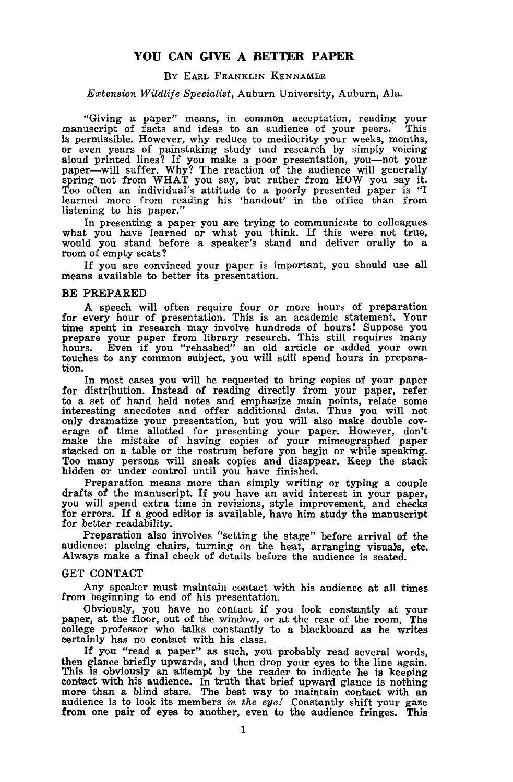# **YOU CAN GIVE A BETTER PAPER**

## By EARL FRANKLIN KENNAMER

# *Extension Wildlife Specialist,* Auburn University, Auburn, Ala.

"Giving a paper" means, in common acceptation, reading your manuscript of facts and ideas to an audience of your peers. This is permissible. However, why reduce to mediocrity your weeks, months, or even years of painstaking study and research by simply voicing or even years or painstaking study and research by simply voicing<br>aloud printed lines? If you make a poor presentation, you—not your paper-will suffer. Why? The reaction of the audience will generally spring not from WHAT you say, but rather from HOW you say it. Too often an individual's attitude to a poorly presented paper is "I learned more from reading his 'handout' in the office than from listening to his paper.'

In presenting a paper you are trying to communicate to colleagues In presenting a paper you are trying to communicate to coneagues<br>what you have learned or what you think. If this were not true, would you stand before a speaker's stand and deliver orally to a room of empty seats? **From of empty seats?**<br>If you are convinced your paper is important, you should use all

means available to better its presentation.

# BE PREPARED

A speech will often require four or more hours of preparation for every hour of presentation. This is an academic statement. Your time spent in research may involve hundreds of hours! Suppose you prepare your paper from library research. This still requires many hours. Even if you "rehashed" an old article or added your own touches to any common subject, you will still spend hours in preparation.

In most cases you will be requested to bring copies of your paper for distribution. Instead of reading directly from your paper, refer to a set of hand held notes and emphasize main points, relate some interesting anecdotes and offer additional data. Thus you will not only dramatize your presentation, but you will also make double covonly dramatize your presentation, but you will also make double cov- erage of time allotted for presenting your paper. However, don't make the mistake of having copies of your mimeographed paper stacked on a table or the rostrum before you begin or while speaking. Too many persons will sneak copies and disappear. Keep the stack hidden or under control until you have finished.

Preparation means more than simply writing or typing a couple drafts of the manuscript. If you have an avid interest in your paper, you will spend extra time in revisions, style improvement, and checks for errors. If a good editor is available, have him study the manuscript for better readability.

Preparation also involves "setting the stage" before arrival of the audience: placing chairs, turning on the heat, arranging visuals, etc. Always make a final check of details before the audience is seated.

### GET CONTACT

Any speaker must maintain contact with his audience at all times from beginning to end of his presentation.

Obviously, you have no contact if you look constantly at your paper, at the floor, out of the window, or at the rear of the room. The college professor who talks constantly to a blackboard as he writes certainly has no contact with his class.

If you "read <sup>a</sup> paper" as such, you probably read several words, then glance briefly upwards, and then drop your eyes to the line again. This is obviously an attempt by the reader to indicate he is keeping contact with his audience. In truth that brief upward glance is nothing more than a blind stare. The best way to maintain contact with an audience is to look its members in the eye! Constantly shift your gaze from one pair of eyes to another, even to the audience fringes. This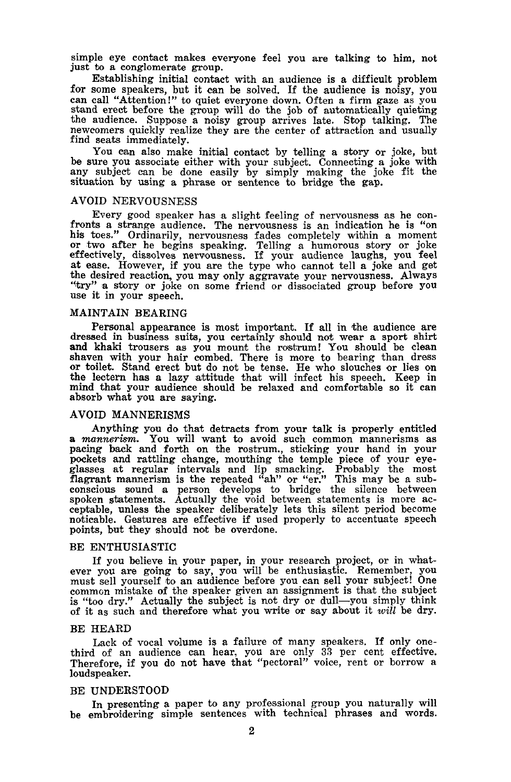simple eye contact makes everyone feel you are talking to him, not just to a conglomerate group.

Establishing initial contact with an audience is a difficult problem<br>for some speakers, but it can be solved. If the audience is noisy, you for some speakers, but it can be solved. If the audience is noisy, you can call "Attention!" to quiet everyone down. Often a firm gaze as you stand erect before the group will do the job of automatically quieting the audience. Suppose <sup>a</sup> noisy group arrives late. Stop talking. The newcomers quickly realize they are the center of attraction and usually find seats immediately.

You can also make initial contact by telling a story or joke, but be sure you associate either with your subject. Connecting a joke with any subject can be done easily by simply making the joke fit the situation by using a phrase or sentence to bridge the gap.

# AVOID NERVOUSNESS

Every good speaker has a slight feeling of nervousness as he con-<br>fronts a strange audience. The nervousness is an indication he is "on<br>his toes." Ordinarily, nervousness fades completely within a moment his toes." Ordinarily, nervousness fades completely within <sup>a</sup> moment or two after he begins speaking. Telling <sup>a</sup> humorous story or joke effectively, dissolves nervousness. If your audience laughs, you feel at ease. However, if you are the type who cannot tell a joke and get the desired reaction, you may only aggravate your nervousness. Always<br>"try" a story or joke on some friend or dissociated group before you<br>use it in your speech.

### MAINTAIN BEARING

Personal appearance is most important. If all in the audience are dressed in business suits, you certainly 'should not wear <sup>a</sup> sport shirt and khaki trousers as you mount the rostrum! You should be clean shaven with your hair combed. There is more to bearing than dress or toilet. Stand erect but do not be tense. He who slouches or lies on the lectern has a lazy attitude that will infect his speech. Keep in mind that your audience should be relaxed and comfortable so it can absorb what you are saying.

#### AVOID MANNERISMS

Anything you do that detracts from your talk is properly entitled <sup>a</sup> *mannerism.* You will want to avoid such common mannerisms as pacing back and forth on the rostrum., sticking your hand in your pockets and rattling change, mouthing the temple piece of your eye-glasses at regular intervals and lip smacking. Probably the most flagrant mannerism is the repeated "ah" or "er." This may be a subconscious sound a person develops to bridge the silence between spoken statements. Actually the void between statements is more ac- ceptable, unless the speaker deliberately lets this silent period become noticable. Gestures are effective if used properly to accentuate speech points, but they should not be overdone.

# BE ENTHUSIASTIC

If you believe in your paper, in your research project, or in what-<br>ever you are going to say, you will be enthusiastic. Remember, you<br>must sell yourself to an audience before you can sell your subject! One common mistake of the speaker given an assignment is that the subject is "too dry." Actually the subject is not dry or dull-you simply think of it as such and therefore what you write or say about it *will* be dry.

### BE HEARD

Lack of vocal volume is a failure of many speakers. If only one-<br>third of an audience can hear, you are only 33 per cent effective. Therefore, if you do not have that "pectoral" voice, rent or borrow a loudspeaker.

### BE UNDERSTOOD

In presenting a paper to any professional group you naturally will be embroidering simple sentences with technical phrases and words.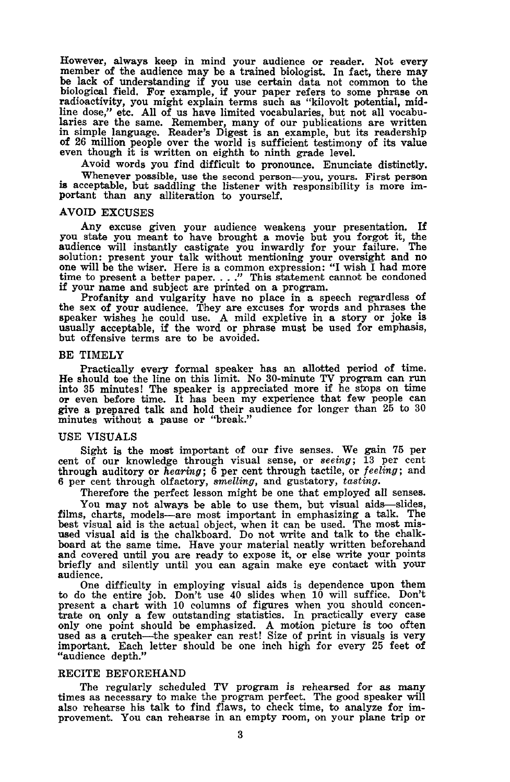However, always keep in mind your audience or reader. Not every member of the audience may be a trained biologist. In fact, there may be lack of understanding if you use certain data not common to the biological field. For example, if your paper refers to some phrase on radioactivity, you might explain terms such as "kilovolt potential, midline dose," etc. All of us have limited vocabularies, but not all vocabularies are the same. Remember, many of our publications are written in simple language. Reader's Digest is an example, but its readership of 26 million people over the world is sufficient testimony of its value even though it is written on eighth to ninth grade level.

Avoid words you find difficult to pronounce. Enunciate distinctly.

Whenever possible, use the second person-you, yours. First person is acceptable, but saddling the listener with responsibility is more important than any alliteration to yourself.

#### AVOID EXCUSES

Any excuse given your audience weakens your presentation. If you state you meant to have brought a movie but you forgot it, the audience will instantly castigate you inwardly for your failure. The solution: present your talk without mentioning your oversight and no one will be the wiser. Here is a common expression: "I wish I had more time to present a better paper...." This statement cannot be condoned if your name and subject are printed on a program.

Profanity and vulgarity have no place in a speech regardless of the sex of your audience. They are excuses for words and phrases the speaker wishes he could use. A mild expletive in a story or joke is usually acceptable, if the word or phrase must be used for emphasis, but offensive terms are to be avoided.

#### BE TIMELY

Practically every formal speaker has an allotted period of time. He should toe the line on this limit. No 30-minute TV program can run into 35 minutes! The speaker is appreciated more if he stops on time or even before time. It has been my experience that few people can give a prepared minutes without a pause or "break."

### USE VISUALS

Sight is the most important of our five senses. We gain 75 per cent of our knowledge through visual sense, or *seeing;* 13 per cent through auditory or *hearing;* 6 per cent through tactile, or *feeling;* and 6 per cent through olfactory, *smelling,* and gustatory, *tasting.*

Therefore the perfect lesson might be one that employed all senses.

You may not always be able to use them, but visual aids-slides, films, charts, models-are most important in emphasizing a talk. The best visual aid is the actual object, when it can be used. The most mis-<br>used visual aid is the chalkboard. Do not write and talk to the chalkboard at the same time. Have your material neatly written beforehand and covered until you are ready to expose it, or else write your points briefly and silently until you can again make eye contact with your audience.

One difficulty in employing visual aids is dependence upon them to do the entire job. Don't use 40 slides when 10 will suffice. Don't present a chart with 10 columns of figures when you should concentrate on only a few outstanding statistics. In practically every case only one point sh used as a crutch-the speaker can rest! Size of print in visuals is very important. Each letter should be one inch high for every 25 feet of "audience depth."

## RECITE BEFOREHAND

The regularly scheduled TV program is rehearsed for as many times as necessary to make the program perfect. The good speaker will also rehearse his talk to find flaws, to check time, to analyze for improvement. You can rehearse in an empty room, on your plane trip or